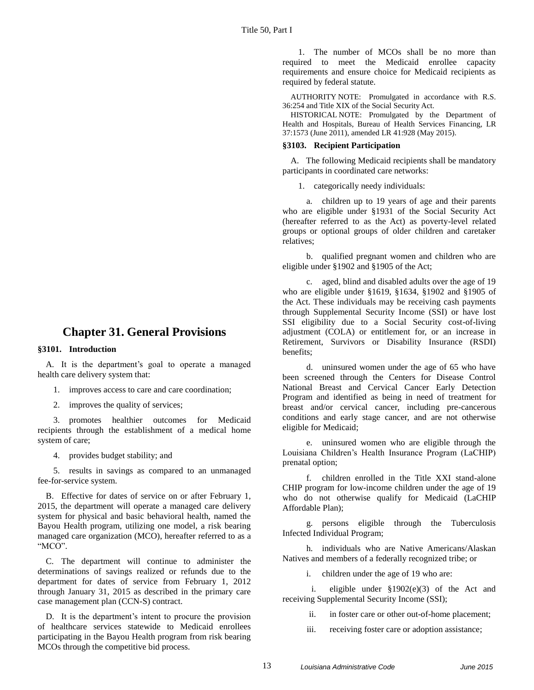# **Chapter 31. General Provisions**

### **§3101. Introduction**

A. It is the department's goal to operate a managed health care delivery system that:

- 1. improves access to care and care coordination;
- 2. improves the quality of services;

3. promotes healthier outcomes for Medicaid recipients through the establishment of a medical home system of care;

4. provides budget stability; and

5. results in savings as compared to an unmanaged fee-for-service system.

B. Effective for dates of service on or after February 1, 2015, the department will operate a managed care delivery system for physical and basic behavioral health, named the Bayou Health program, utilizing one model, a risk bearing managed care organization (MCO), hereafter referred to as a "MCO".

C. The department will continue to administer the determinations of savings realized or refunds due to the department for dates of service from February 1, 2012 through January 31, 2015 as described in the primary care case management plan (CCN-S) contract.

D. It is the department's intent to procure the provision of healthcare services statewide to Medicaid enrollees participating in the Bayou Health program from risk bearing MCOs through the competitive bid process.

1. The number of MCOs shall be no more than required to meet the Medicaid enrollee capacity requirements and ensure choice for Medicaid recipients as required by federal statute.

AUTHORITY NOTE: Promulgated in accordance with R.S. 36:254 and Title XIX of the Social Security Act.

HISTORICAL NOTE: Promulgated by the Department of Health and Hospitals, Bureau of Health Services Financing, LR 37:1573 (June 2011), amended LR 41:928 (May 2015).

### **§3103. Recipient Participation**

A. The following Medicaid recipients shall be mandatory participants in coordinated care networks:

1. categorically needy individuals:

a. children up to 19 years of age and their parents who are eligible under §1931 of the Social Security Act (hereafter referred to as the Act) as poverty-level related groups or optional groups of older children and caretaker relatives;

b. qualified pregnant women and children who are eligible under §1902 and §1905 of the Act;

c. aged, blind and disabled adults over the age of 19 who are eligible under §1619, §1634, §1902 and §1905 of the Act. These individuals may be receiving cash payments through Supplemental Security Income (SSI) or have lost SSI eligibility due to a Social Security cost-of-living adjustment (COLA) or entitlement for, or an increase in Retirement, Survivors or Disability Insurance (RSDI) benefits;

d. uninsured women under the age of 65 who have been screened through the Centers for Disease Control National Breast and Cervical Cancer Early Detection Program and identified as being in need of treatment for breast and/or cervical cancer, including pre-cancerous conditions and early stage cancer, and are not otherwise eligible for Medicaid;

e. uninsured women who are eligible through the Louisiana Children's Health Insurance Program (LaCHIP) prenatal option;

f. children enrolled in the Title XXI stand-alone CHIP program for low-income children under the age of 19 who do not otherwise qualify for Medicaid (LaCHIP Affordable Plan);

g. persons eligible through the Tuberculosis Infected Individual Program;

h. individuals who are Native Americans/Alaskan Natives and members of a federally recognized tribe; or

i. children under the age of 19 who are:

i. eligible under §1902(e)(3) of the Act and receiving Supplemental Security Income (SSI);

ii. in foster care or other out-of-home placement;

iii. receiving foster care or adoption assistance;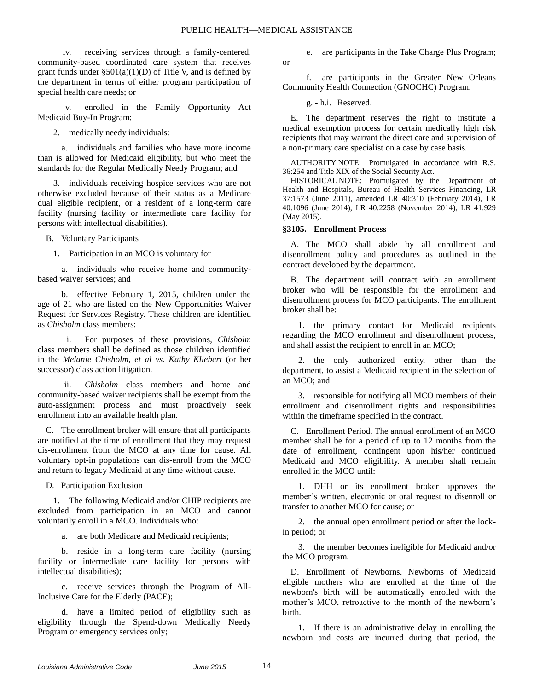or

iv. receiving services through a family-centered, community-based coordinated care system that receives grant funds under  $\S 501(a)(1)(D)$  of Title V, and is defined by the department in terms of either program participation of special health care needs; or

enrolled in the Family Opportunity Act Medicaid Buy-In Program;

2. medically needy individuals:

a. individuals and families who have more income than is allowed for Medicaid eligibility, but who meet the standards for the Regular Medically Needy Program; and

3. individuals receiving hospice services who are not otherwise excluded because of their status as a Medicare dual eligible recipient, or a resident of a long-term care facility (nursing facility or intermediate care facility for persons with intellectual disabilities).

B. Voluntary Participants

1. Participation in an MCO is voluntary for

a. individuals who receive home and communitybased waiver services; and

b. effective February 1, 2015, children under the age of 21 who are listed on the New Opportunities Waiver Request for Services Registry. These children are identified as *Chisholm* class members:

i. For purposes of these provisions, *Chisholm* class members shall be defined as those children identified in the *Melanie Chisholm, et al vs. Kathy Kliebert* (or her successor) class action litigation.

ii. *Chisholm* class members and home and community-based waiver recipients shall be exempt from the auto-assignment process and must proactively seek enrollment into an available health plan.

C. The enrollment broker will ensure that all participants are notified at the time of enrollment that they may request dis-enrollment from the MCO at any time for cause. All voluntary opt-in populations can dis-enroll from the MCO and return to legacy Medicaid at any time without cause.

D. Participation Exclusion

1. The following Medicaid and/or CHIP recipients are excluded from participation in an MCO and cannot voluntarily enroll in a MCO. Individuals who:

a. are both Medicare and Medicaid recipients;

b. reside in a long-term care facility (nursing facility or intermediate care facility for persons with intellectual disabilities);

c. receive services through the Program of All-Inclusive Care for the Elderly (PACE);

d. have a limited period of eligibility such as eligibility through the Spend-down Medically Needy Program or emergency services only;

e. are participants in the Take Charge Plus Program;

f. are participants in the Greater New Orleans Community Health Connection (GNOCHC) Program.

g. - h.i. Reserved.

E. The department reserves the right to institute a medical exemption process for certain medically high risk recipients that may warrant the direct care and supervision of a non-primary care specialist on a case by case basis.

AUTHORITY NOTE: Promulgated in accordance with R.S. 36:254 and Title XIX of the Social Security Act.

HISTORICAL NOTE: Promulgated by the Department of Health and Hospitals, Bureau of Health Services Financing, LR 37:1573 (June 2011), amended LR 40:310 (February 2014), LR 40:1096 (June 2014), LR 40:2258 (November 2014), LR 41:929 (May 2015).

### **§3105. Enrollment Process**

A. The MCO shall abide by all enrollment and disenrollment policy and procedures as outlined in the contract developed by the department.

B. The department will contract with an enrollment broker who will be responsible for the enrollment and disenrollment process for MCO participants. The enrollment broker shall be:

1. the primary contact for Medicaid recipients regarding the MCO enrollment and disenrollment process, and shall assist the recipient to enroll in an MCO;

2. the only authorized entity, other than the department, to assist a Medicaid recipient in the selection of an MCO; and

3. responsible for notifying all MCO members of their enrollment and disenrollment rights and responsibilities within the timeframe specified in the contract.

C. Enrollment Period. The annual enrollment of an MCO member shall be for a period of up to 12 months from the date of enrollment, contingent upon his/her continued Medicaid and MCO eligibility. A member shall remain enrolled in the MCO until:

1. DHH or its enrollment broker approves the member's written, electronic or oral request to disenroll or transfer to another MCO for cause; or

2. the annual open enrollment period or after the lockin period; or

3. the member becomes ineligible for Medicaid and/or the MCO program.

D. Enrollment of Newborns. Newborns of Medicaid eligible mothers who are enrolled at the time of the newborn's birth will be automatically enrolled with the mother's MCO, retroactive to the month of the newborn's birth.

1. If there is an administrative delay in enrolling the newborn and costs are incurred during that period, the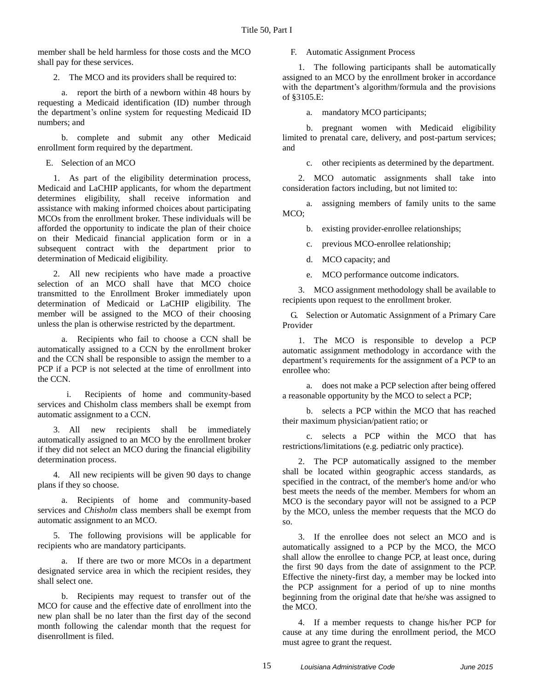member shall be held harmless for those costs and the MCO shall pay for these services.

2. The MCO and its providers shall be required to:

a. report the birth of a newborn within 48 hours by requesting a Medicaid identification (ID) number through the department's online system for requesting Medicaid ID numbers; and

b. complete and submit any other Medicaid enrollment form required by the department.

E. Selection of an MCO

1. As part of the eligibility determination process, Medicaid and LaCHIP applicants, for whom the department determines eligibility, shall receive information and assistance with making informed choices about participating MCOs from the enrollment broker. These individuals will be afforded the opportunity to indicate the plan of their choice on their Medicaid financial application form or in a subsequent contract with the department prior to determination of Medicaid eligibility.

2. All new recipients who have made a proactive selection of an MCO shall have that MCO choice transmitted to the Enrollment Broker immediately upon determination of Medicaid or LaCHIP eligibility. The member will be assigned to the MCO of their choosing unless the plan is otherwise restricted by the department.

a. Recipients who fail to choose a CCN shall be automatically assigned to a CCN by the enrollment broker and the CCN shall be responsible to assign the member to a PCP if a PCP is not selected at the time of enrollment into the CCN.

i. Recipients of home and community-based services and Chisholm class members shall be exempt from automatic assignment to a CCN.

3. All new recipients shall be immediately automatically assigned to an MCO by the enrollment broker if they did not select an MCO during the financial eligibility determination process.

4. All new recipients will be given 90 days to change plans if they so choose.

a. Recipients of home and community-based services and *Chisholm* class members shall be exempt from automatic assignment to an MCO.

5. The following provisions will be applicable for recipients who are mandatory participants.

a. If there are two or more MCOs in a department designated service area in which the recipient resides, they shall select one.

b. Recipients may request to transfer out of the MCO for cause and the effective date of enrollment into the new plan shall be no later than the first day of the second month following the calendar month that the request for disenrollment is filed.

F. Automatic Assignment Process

1. The following participants shall be automatically assigned to an MCO by the enrollment broker in accordance with the department's algorithm/formula and the provisions of §3105.E:

a. mandatory MCO participants;

b. pregnant women with Medicaid eligibility limited to prenatal care, delivery, and post-partum services; and

c. other recipients as determined by the department.

2. MCO automatic assignments shall take into consideration factors including, but not limited to:

a. assigning members of family units to the same MCO;

b. existing provider-enrollee relationships;

c. previous MCO-enrollee relationship;

d. MCO capacity; and

e. MCO performance outcome indicators.

3. MCO assignment methodology shall be available to recipients upon request to the enrollment broker.

G. Selection or Automatic Assignment of a Primary Care Provider

1. The MCO is responsible to develop a PCP automatic assignment methodology in accordance with the department's requirements for the assignment of a PCP to an enrollee who:

a. does not make a PCP selection after being offered a reasonable opportunity by the MCO to select a PCP;

b. selects a PCP within the MCO that has reached their maximum physician/patient ratio; or

c. selects a PCP within the MCO that has restrictions/limitations (e.g. pediatric only practice).

2. The PCP automatically assigned to the member shall be located within geographic access standards, as specified in the contract, of the member's home and/or who best meets the needs of the member. Members for whom an MCO is the secondary payor will not be assigned to a PCP by the MCO, unless the member requests that the MCO do so.

3. If the enrollee does not select an MCO and is automatically assigned to a PCP by the MCO, the MCO shall allow the enrollee to change PCP, at least once, during the first 90 days from the date of assignment to the PCP. Effective the ninety-first day, a member may be locked into the PCP assignment for a period of up to nine months beginning from the original date that he/she was assigned to the MCO.

4. If a member requests to change his/her PCP for cause at any time during the enrollment period, the MCO must agree to grant the request.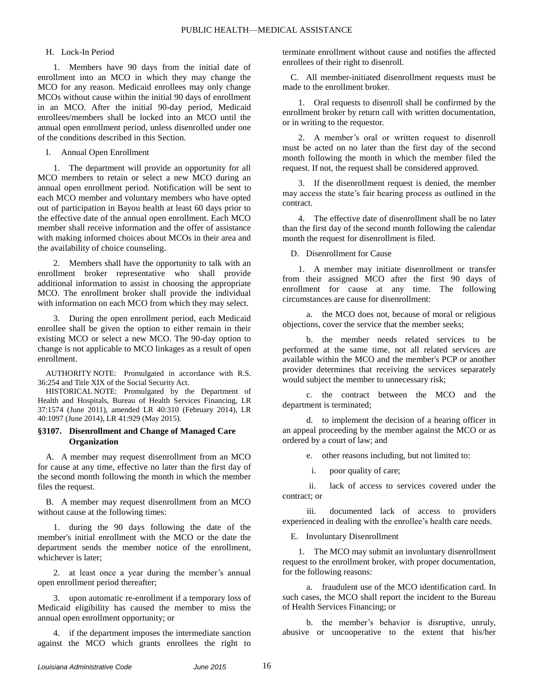## H. Lock-In Period

1. Members have 90 days from the initial date of enrollment into an MCO in which they may change the MCO for any reason. Medicaid enrollees may only change MCOs without cause within the initial 90 days of enrollment in an MCO. After the initial 90-day period, Medicaid enrollees/members shall be locked into an MCO until the annual open enrollment period, unless disenrolled under one of the conditions described in this Section.

I. Annual Open Enrollment

1. The department will provide an opportunity for all MCO members to retain or select a new MCO during an annual open enrollment period. Notification will be sent to each MCO member and voluntary members who have opted out of participation in Bayou health at least 60 days prior to the effective date of the annual open enrollment. Each MCO member shall receive information and the offer of assistance with making informed choices about MCOs in their area and the availability of choice counseling.

2. Members shall have the opportunity to talk with an enrollment broker representative who shall provide additional information to assist in choosing the appropriate MCO. The enrollment broker shall provide the individual with information on each MCO from which they may select.

3. During the open enrollment period, each Medicaid enrollee shall be given the option to either remain in their existing MCO or select a new MCO. The 90-day option to change is not applicable to MCO linkages as a result of open enrollment.

AUTHORITY NOTE: Promulgated in accordance with R.S. 36:254 and Title XIX of the Social Security Act.

HISTORICAL NOTE: Promulgated by the Department of Health and Hospitals, Bureau of Health Services Financing, LR 37:1574 (June 2011), amended LR 40:310 (February 2014), LR 40:1097 (June 2014), LR 41:929 (May 2015).

### **§3107. Disenrollment and Change of Managed Care Organization**

A. A member may request disenrollment from an MCO for cause at any time, effective no later than the first day of the second month following the month in which the member files the request.

B. A member may request disenrollment from an MCO without cause at the following times:

1. during the 90 days following the date of the member's initial enrollment with the MCO or the date the department sends the member notice of the enrollment, whichever is later;

2. at least once a year during the member's annual open enrollment period thereafter;

3. upon automatic re-enrollment if a temporary loss of Medicaid eligibility has caused the member to miss the annual open enrollment opportunity; or

4. if the department imposes the intermediate sanction against the MCO which grants enrollees the right to terminate enrollment without cause and notifies the affected enrollees of their right to disenroll.

C. All member-initiated disenrollment requests must be made to the enrollment broker.

1. Oral requests to disenroll shall be confirmed by the enrollment broker by return call with written documentation, or in writing to the requestor.

2. A member's oral or written request to disenroll must be acted on no later than the first day of the second month following the month in which the member filed the request. If not, the request shall be considered approved.

3. If the disenrollment request is denied, the member may access the state's fair hearing process as outlined in the contract.

4. The effective date of disenrollment shall be no later than the first day of the second month following the calendar month the request for disenrollment is filed.

D. Disenrollment for Cause

1. A member may initiate disenrollment or transfer from their assigned MCO after the first 90 days of enrollment for cause at any time. The following circumstances are cause for disenrollment:

a. the MCO does not, because of moral or religious objections, cover the service that the member seeks;

b. the member needs related services to be performed at the same time, not all related services are available within the MCO and the member's PCP or another provider determines that receiving the services separately would subject the member to unnecessary risk;

c. the contract between the MCO and the department is terminated;

d. to implement the decision of a hearing officer in an appeal proceeding by the member against the MCO or as ordered by a court of law; and

e. other reasons including, but not limited to:

i. poor quality of care;

ii. lack of access to services covered under the contract; or

iii. documented lack of access to providers experienced in dealing with the enrollee's health care needs.

E. Involuntary Disenrollment

1. The MCO may submit an involuntary disenrollment request to the enrollment broker, with proper documentation, for the following reasons:

a. fraudulent use of the MCO identification card. In such cases, the MCO shall report the incident to the Bureau of Health Services Financing; or

b. the member's behavior is disruptive, unruly, abusive or uncooperative to the extent that his/her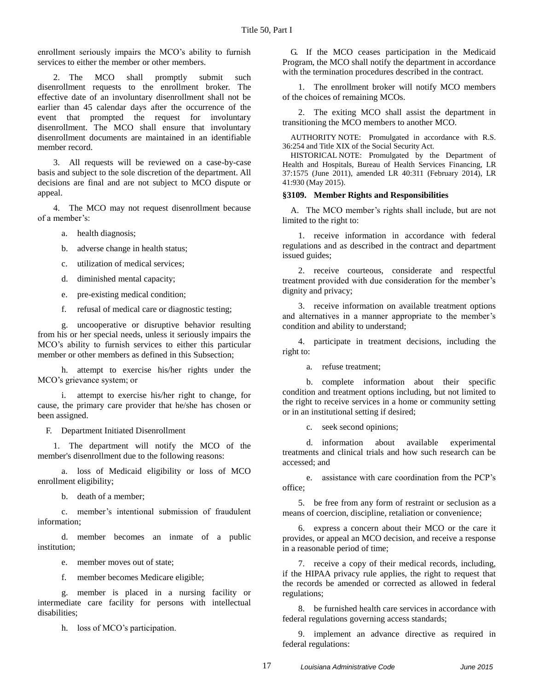enrollment seriously impairs the MCO's ability to furnish services to either the member or other members.

2. The MCO shall promptly submit such disenrollment requests to the enrollment broker. The effective date of an involuntary disenrollment shall not be earlier than 45 calendar days after the occurrence of the event that prompted the request for involuntary disenrollment. The MCO shall ensure that involuntary disenrollment documents are maintained in an identifiable member record.

3. All requests will be reviewed on a case-by-case basis and subject to the sole discretion of the department. All decisions are final and are not subject to MCO dispute or appeal.

4. The MCO may not request disenrollment because of a member's:

a. health diagnosis;

b. adverse change in health status;

c. utilization of medical services;

d. diminished mental capacity;

e. pre-existing medical condition;

f. refusal of medical care or diagnostic testing;

g. uncooperative or disruptive behavior resulting from his or her special needs, unless it seriously impairs the MCO's ability to furnish services to either this particular member or other members as defined in this Subsection;

h. attempt to exercise his/her rights under the MCO's grievance system; or

attempt to exercise his/her right to change, for cause, the primary care provider that he/she has chosen or been assigned.

F. Department Initiated Disenrollment

1. The department will notify the MCO of the member's disenrollment due to the following reasons:

a. loss of Medicaid eligibility or loss of MCO enrollment eligibility;

b. death of a member;

c. member's intentional submission of fraudulent information;

d. member becomes an inmate of a public institution;

e. member moves out of state;

f. member becomes Medicare eligible;

g. member is placed in a nursing facility or intermediate care facility for persons with intellectual disabilities;

h. loss of MCO's participation.

G. If the MCO ceases participation in the Medicaid Program, the MCO shall notify the department in accordance with the termination procedures described in the contract.

1. The enrollment broker will notify MCO members of the choices of remaining MCOs.

2. The exiting MCO shall assist the department in transitioning the MCO members to another MCO.

AUTHORITY NOTE: Promulgated in accordance with R.S. 36:254 and Title XIX of the Social Security Act.

HISTORICAL NOTE: Promulgated by the Department of Health and Hospitals, Bureau of Health Services Financing, LR 37:1575 (June 2011), amended LR 40:311 (February 2014), LR 41:930 (May 2015).

#### **§3109. Member Rights and Responsibilities**

A. The MCO member's rights shall include, but are not limited to the right to:

1. receive information in accordance with federal regulations and a*s* described in the contract and department issued guides;

2. receive courteous, considerate and respectful treatment provided with due consideration for the member's dignity and privacy;

3. receive information on available treatment options and alternatives in a manner appropriate to the member's condition and ability to understand;

4. participate in treatment decisions, including the right to:

a. refuse treatment;

b. complete information about their specific condition and treatment options including, but not limited to the right to receive services in a home or community setting or in an institutional setting if desired;

c. seek second opinions;

d. information about available experimental treatments and clinical trials and how such research can be accessed; and

e. assistance with care coordination from the PCP's office;

5. be free from any form of restraint or seclusion as a means of coercion, discipline, retaliation or convenience;

6. express a concern about their MCO or the care it provides, or appeal an MCO decision, and receive a response in a reasonable period of time;

7. receive a copy of their medical records, including, if the HIPAA privacy rule applies, the right to request that the records be amended or corrected as allowed in federal regulations;

8. be furnished health care services in accordance with federal regulations governing access standards;

9. implement an advance directive as required in federal regulations: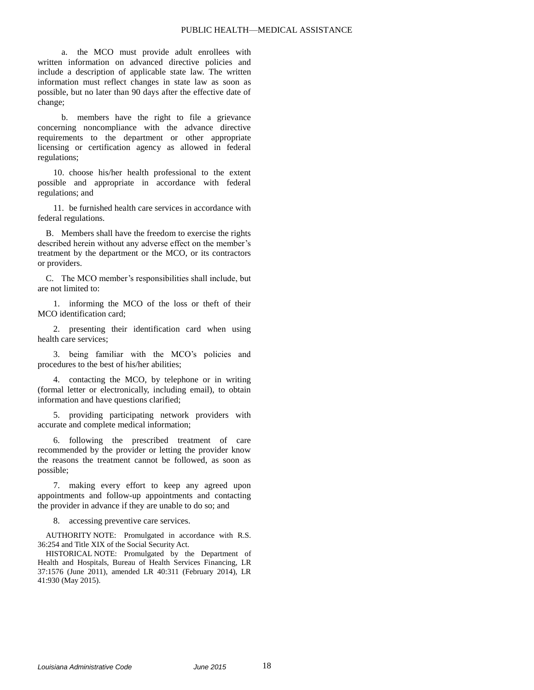a. the MCO must provide adult enrollees with written information on advanced directive policies and include a description of applicable state law. The written information must reflect changes in state law as soon as possible, but no later than 90 days after the effective date of change;

b. members have the right to file a grievance concerning noncompliance with the advance directive requirements to the department or other appropriate licensing or certification agency as allowed in federal regulations;

10. choose his/her health professional to the extent possible and appropriate in accordance with federal regulations; and

11. be furnished health care services in accordance with federal regulations.

B. Members shall have the freedom to exercise the rights described herein without any adverse effect on the member's treatment by the department or the MCO, or its contractors or providers.

C. The MCO member's responsibilities shall include, but are not limited to:

1. informing the MCO of the loss or theft of their MCO identification card;

2. presenting their identification card when using health care services;

3. being familiar with the MCO's policies and procedures to the best of his/her abilities;

4. contacting the MCO, by telephone or in writing (formal letter or electronically, including email), to obtain information and have questions clarified;

5. providing participating network providers with accurate and complete medical information;

6. following the prescribed treatment of care recommended by the provider or letting the provider know the reasons the treatment cannot be followed, as soon as possible;

7. making every effort to keep any agreed upon appointments and follow-up appointments and contacting the provider in advance if they are unable to do so; and

8. accessing preventive care services.

AUTHORITY NOTE: Promulgated in accordance with R.S. 36:254 and Title XIX of the Social Security Act.

HISTORICAL NOTE: Promulgated by the Department of Health and Hospitals, Bureau of Health Services Financing, LR 37:1576 (June 2011), amended LR 40:311 (February 2014), LR 41:930 (May 2015).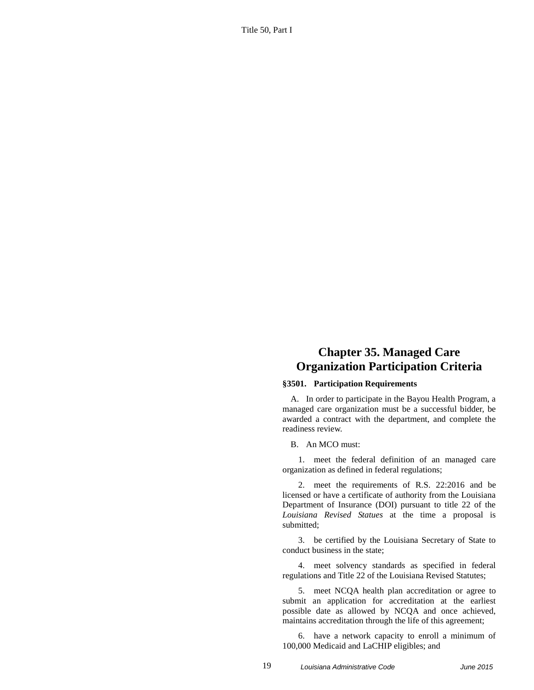Title 50, Part I

# **Chapter 35. Managed Care Organization Participation Criteria**

#### **§3501. Participation Requirements**

A. In order to participate in the Bayou Health Program, a managed care organization must be a successful bidder, be awarded a contract with the department, and complete the readiness review.

B. An MCO must:

1. meet the federal definition of an managed care organization as defined in federal regulations;

2. meet the requirements of R.S. 22:2016 and be licensed or have a certificate of authority from the Louisiana Department of Insurance (DOI) pursuant to title 22 of the *Louisiana Revised Statues* at the time a proposal is submitted;

3. be certified by the Louisiana Secretary of State to conduct business in the state;

4. meet solvency standards as specified in federal regulations and Title 22 of the Louisiana Revised Statutes;

5. meet NCQA health plan accreditation or agree to submit an application for accreditation at the earliest possible date as allowed by NCQA and once achieved, maintains accreditation through the life of this agreement;

6. have a network capacity to enroll a minimum of 100,000 Medicaid and LaCHIP eligibles; and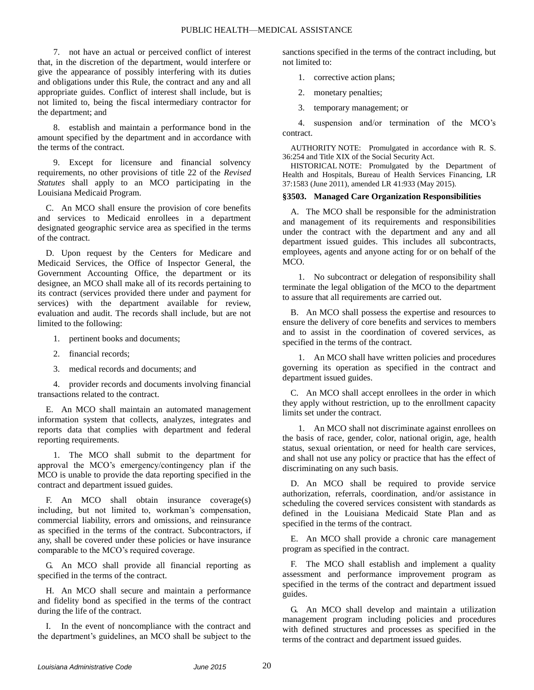7. not have an actual or perceived conflict of interest that, in the discretion of the department, would interfere or give the appearance of possibly interfering with its duties and obligations under this Rule, the contract and any and all appropriate guides. Conflict of interest shall include, but is not limited to, being the fiscal intermediary contractor for the department; and

8. establish and maintain a performance bond in the amount specified by the department and in accordance with the terms of the contract.

9. Except for licensure and financial solvency requirements, no other provisions of title 22 of the *Revised Statutes* shall apply to an MCO participating in the Louisiana Medicaid Program.

C. An MCO shall ensure the provision of core benefits and services to Medicaid enrollees in a department designated geographic service area as specified in the terms of the contract.

D. Upon request by the Centers for Medicare and Medicaid Services, the Office of Inspector General, the Government Accounting Office, the department or its designee, an MCO shall make all of its records pertaining to its contract (services provided there under and payment for services) with the department available for review, evaluation and audit. The records shall include, but are not limited to the following:

- 1. pertinent books and documents;
- 2. financial records;
- 3. medical records and documents; and

4. provider records and documents involving financial transactions related to the contract.

E. An MCO shall maintain an automated management information system that collects, analyzes, integrates and reports data that complies with department and federal reporting requirements.

1. The MCO shall submit to the department for approval the MCO's emergency/contingency plan if the MCO is unable to provide the data reporting specified in the contract and department issued guides.

F. An MCO shall obtain insurance coverage(s) including, but not limited to, workman's compensation, commercial liability, errors and omissions, and reinsurance as specified in the terms of the contract. Subcontractors, if any, shall be covered under these policies or have insurance comparable to the MCO's required coverage.

G. An MCO shall provide all financial reporting as specified in the terms of the contract.

H. An MCO shall secure and maintain a performance and fidelity bond as specified in the terms of the contract during the life of the contract.

I. In the event of noncompliance with the contract and the department's guidelines, an MCO shall be subject to the sanctions specified in the terms of the contract including, but not limited to:

1. corrective action plans;

- 2. monetary penalties;
- 3. temporary management; or

4. suspension and/or termination of the MCO's contract.

AUTHORITY NOTE: Promulgated in accordance with R. S. 36:254 and Title XIX of the Social Security Act.

HISTORICAL NOTE: Promulgated by the Department of Health and Hospitals, Bureau of Health Services Financing, LR 37:1583 (June 2011), amended LR 41:933 (May 2015).

### **§3503. Managed Care Organization Responsibilities**

A. The MCO shall be responsible for the administration and management of its requirements and responsibilities under the contract with the department and any and all department issued guides. This includes all subcontracts, employees, agents and anyone acting for or on behalf of the MCO.

1. No subcontract or delegation of responsibility shall terminate the legal obligation of the MCO to the department to assure that all requirements are carried out.

B. An MCO shall possess the expertise and resources to ensure the delivery of core benefits and services to members and to assist in the coordination of covered services, as specified in the terms of the contract.

1. An MCO shall have written policies and procedures governing its operation as specified in the contract and department issued guides.

C. An MCO shall accept enrollees in the order in which they apply without restriction, up to the enrollment capacity limits set under the contract.

1. An MCO shall not discriminate against enrollees on the basis of race, gender, color, national origin, age, health status, sexual orientation, or need for health care services, and shall not use any policy or practice that has the effect of discriminating on any such basis.

D. An MCO shall be required to provide service authorization, referrals, coordination, and/or assistance in scheduling the covered services consistent with standards as defined in the Louisiana Medicaid State Plan and as specified in the terms of the contract.

E. An MCO shall provide a chronic care management program as specified in the contract.

F. The MCO shall establish and implement a quality assessment and performance improvement program as specified in the terms of the contract and department issued guides.

G. An MCO shall develop and maintain a utilization management program including policies and procedures with defined structures and processes as specified in the terms of the contract and department issued guides.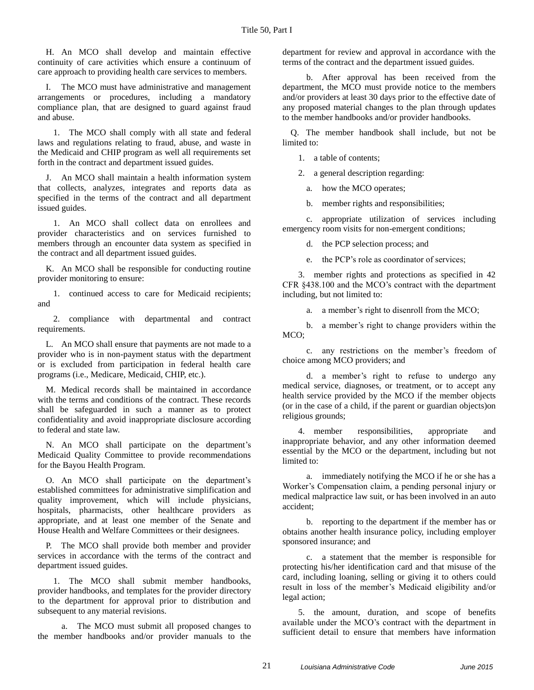H. An MCO shall develop and maintain effective continuity of care activities which ensure a continuum of care approach to providing health care services to members.

I. The MCO must have administrative and management arrangements or procedures, including a mandatory compliance plan, that are designed to guard against fraud and abuse.

1. The MCO shall comply with all state and federal laws and regulations relating to fraud, abuse, and waste in the Medicaid and CHIP program as well all requirements set forth in the contract and department issued guides.

J. An MCO shall maintain a health information system that collects, analyzes, integrates and reports data as specified in the terms of the contract and all department issued guides.

1. An MCO shall collect data on enrollees and provider characteristics and on services furnished to members through an encounter data system as specified in the contract and all department issued guides.

K. An MCO shall be responsible for conducting routine provider monitoring to ensure:

1. continued access to care for Medicaid recipients; and

2. compliance with departmental and contract requirements.

L. An MCO shall ensure that payments are not made to a provider who is in non-payment status with the department or is excluded from participation in federal health care programs (i.e., Medicare, Medicaid, CHIP, etc.).

M. Medical records shall be maintained in accordance with the terms and conditions of the contract. These records shall be safeguarded in such a manner as to protect confidentiality and avoid inappropriate disclosure according to federal and state law.

N. An MCO shall participate on the department's Medicaid Quality Committee to provide recommendations for the Bayou Health Program.

O. An MCO shall participate on the department's established committees for administrative simplification and quality improvement, which will include physicians, hospitals, pharmacists, other healthcare providers as appropriate, and at least one member of the Senate and House Health and Welfare Committees or their designees.

P. The MCO shall provide both member and provider services in accordance with the terms of the contract and department issued guides.

1. The MCO shall submit member handbooks, provider handbooks, and templates for the provider directory to the department for approval prior to distribution and subsequent to any material revisions.

a. The MCO must submit all proposed changes to the member handbooks and/or provider manuals to the department for review and approval in accordance with the terms of the contract and the department issued guides.

b. After approval has been received from the department, the MCO must provide notice to the members and/or providers at least 30 days prior to the effective date of any proposed material changes to the plan through updates to the member handbooks and/or provider handbooks.

Q. The member handbook shall include, but not be limited to:

1. a table of contents;

2. a general description regarding:

a. how the MCO operates;

b. member rights and responsibilities;

c. appropriate utilization of services including emergency room visits for non-emergent conditions;

d. the PCP selection process; and

e. the PCP's role as coordinator of services;

3. member rights and protections as specified in 42 CFR §438.100 and the MCO's contract with the department including, but not limited to:

a. a member's right to disenroll from the MCO;

b. a member's right to change providers within the MCO;

c. any restrictions on the member's freedom of choice among MCO providers; and

d. a member's right to refuse to undergo any medical service, diagnoses, or treatment, or to accept any health service provided by the MCO if the member objects (or in the case of a child, if the parent or guardian objects)on religious grounds;

4. member responsibilities, appropriate and inappropriate behavior, and any other information deemed essential by the MCO or the department, including but not limited to:

a. immediately notifying the MCO if he or she has a Worker's Compensation claim, a pending personal injury or medical malpractice law suit, or has been involved in an auto accident;

b. reporting to the department if the member has or obtains another health insurance policy, including employer sponsored insurance; and

c. a statement that the member is responsible for protecting his/her identification card and that misuse of the card, including loaning, selling or giving it to others could result in loss of the member's Medicaid eligibility and/or legal action;

5. the amount, duration, and scope of benefits available under the MCO's contract with the department in sufficient detail to ensure that members have information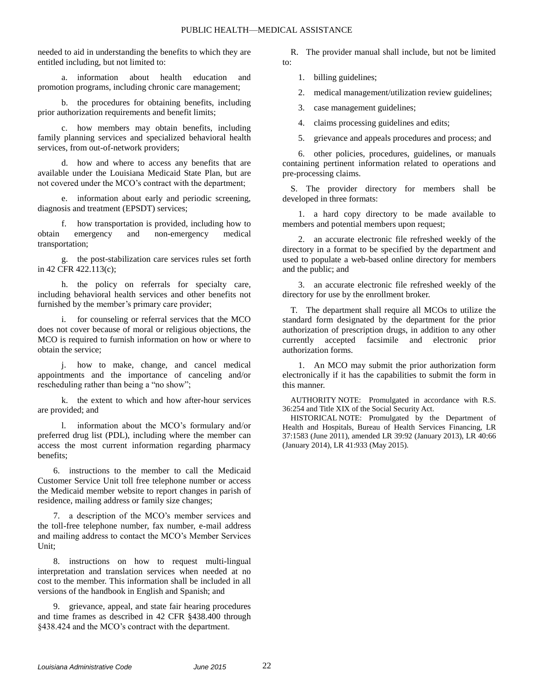needed to aid in understanding the benefits to which they are entitled including, but not limited to:

a. information about health education and promotion programs, including chronic care management;

b. the procedures for obtaining benefits, including prior authorization requirements and benefit limits;

c. how members may obtain benefits, including family planning services and specialized behavioral health services, from out-of-network providers;

d. how and where to access any benefits that are available under the Louisiana Medicaid State Plan, but are not covered under the MCO's contract with the department;

e. information about early and periodic screening, diagnosis and treatment (EPSDT) services;

f. how transportation is provided, including how to obtain emergency and non-emergency medical transportation;

g. the post-stabilization care services rules set forth in 42 CFR 422.113(c);

h. the policy on referrals for specialty care, including behavioral health services and other benefits not furnished by the member's primary care provider;

for counseling or referral services that the MCO does not cover because of moral or religious objections, the MCO is required to furnish information on how or where to obtain the service;

j. how to make, change, and cancel medical appointments and the importance of canceling and/or rescheduling rather than being a "no show";

k. the extent to which and how after-hour services are provided; and

information about the MCO's formulary and/or preferred drug list (PDL), including where the member can access the most current information regarding pharmacy benefits;

6. instructions to the member to call the Medicaid Customer Service Unit toll free telephone number or access the Medicaid member website to report changes in parish of residence, mailing address or family size changes;

7. a description of the MCO's member services and the toll-free telephone number, fax number, e-mail address and mailing address to contact the MCO's Member Services Unit;

8. instructions on how to request multi-lingual interpretation and translation services when needed at no cost to the member. This information shall be included in all versions of the handbook in English and Spanish; and

9. grievance, appeal, and state fair hearing procedures and time frames as described in 42 CFR §438.400 through §438.424 and the MCO's contract with the department.

R. The provider manual shall include, but not be limited to:

1. billing guidelines;

2. medical management/utilization review guidelines;

3. case management guidelines;

4. claims processing guidelines and edits;

5. grievance and appeals procedures and process; and

6. other policies, procedures, guidelines, or manuals containing pertinent information related to operations and pre-processing claims.

S. The provider directory for members shall be developed in three formats:

1. a hard copy directory to be made available to members and potential members upon request;

2. an accurate electronic file refreshed weekly of the directory in a format to be specified by the department and used to populate a web-based online directory for members and the public; and

3. an accurate electronic file refreshed weekly of the directory for use by the enrollment broker.

T. The department shall require all MCOs to utilize the standard form designated by the department for the prior authorization of prescription drugs, in addition to any other currently accepted facsimile and electronic prior authorization forms.

1. An MCO may submit the prior authorization form electronically if it has the capabilities to submit the form in this manner.

AUTHORITY NOTE: Promulgated in accordance with R.S. 36:254 and Title XIX of the Social Security Act.

HISTORICAL NOTE: Promulgated by the Department of Health and Hospitals, Bureau of Health Services Financing, LR 37:1583 (June 2011), amended LR 39:92 (January 2013), LR 40:66 (January 2014), LR 41:933 (May 2015).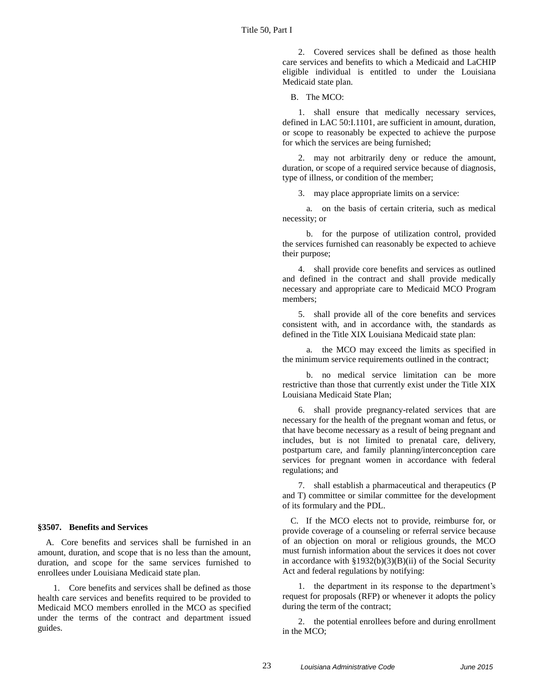2. Covered services shall be defined as those health care services and benefits to which a Medicaid and LaCHIP eligible individual is entitled to under the Louisiana Medicaid state plan.

B. The MCO:

1. shall ensure that medically necessary services, defined in LAC 50:I.1101, are sufficient in amount, duration, or scope to reasonably be expected to achieve the purpose for which the services are being furnished;

2. may not arbitrarily deny or reduce the amount, duration, or scope of a required service because of diagnosis, type of illness, or condition of the member;

3. may place appropriate limits on a service:

a. on the basis of certain criteria, such as medical necessity; or

b. for the purpose of utilization control, provided the services furnished can reasonably be expected to achieve their purpose;

4. shall provide core benefits and services as outlined and defined in the contract and shall provide medically necessary and appropriate care to Medicaid MCO Program members;

5. shall provide all of the core benefits and services consistent with, and in accordance with, the standards as defined in the Title XIX Louisiana Medicaid state plan:

a. the MCO may exceed the limits as specified in the minimum service requirements outlined in the contract;

b. no medical service limitation can be more restrictive than those that currently exist under the Title XIX Louisiana Medicaid State Plan;

6. shall provide pregnancy-related services that are necessary for the health of the pregnant woman and fetus, or that have become necessary as a result of being pregnant and includes, but is not limited to prenatal care, delivery, postpartum care, and family planning/interconception care services for pregnant women in accordance with federal regulations; and

7. shall establish a pharmaceutical and therapeutics (P and T) committee or similar committee for the development of its formulary and the PDL.

C. If the MCO elects not to provide, reimburse for, or provide coverage of a counseling or referral service because of an objection on moral or religious grounds, the MCO must furnish information about the services it does not cover in accordance with §1932(b)(3)(B)(ii) of the Social Security Act and federal regulations by notifying:

1. the department in its response to the department's request for proposals (RFP) or whenever it adopts the policy during the term of the contract;

2. the potential enrollees before and during enrollment in the MCO;

## **§3507. Benefits and Services**

A. Core benefits and services shall be furnished in an amount, duration, and scope that is no less than the amount, duration, and scope for the same services furnished to enrollees under Louisiana Medicaid state plan.

1. Core benefits and services shall be defined as those health care services and benefits required to be provided to Medicaid MCO members enrolled in the MCO as specified under the terms of the contract and department issued guides.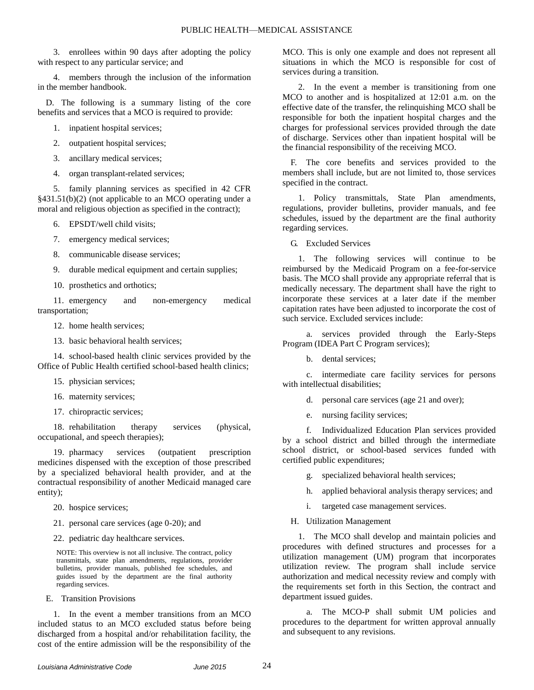3. enrollees within 90 days after adopting the policy with respect to any particular service; and

4. members through the inclusion of the information in the member handbook.

D. The following is a summary listing of the core benefits and services that a MCO is required to provide:

- 1. inpatient hospital services;
- 2. outpatient hospital services;
- 3. ancillary medical services;
- 4. organ transplant-related services;

5. family planning services as specified in 42 CFR §431.51(b)(2) (not applicable to an MCO operating under a moral and religious objection as specified in the contract);

- 6. EPSDT/well child visits;
- 7. emergency medical services;
- 8. communicable disease services;
- 9. durable medical equipment and certain supplies;
- 10. prosthetics and orthotics;

11. emergency and non-emergency medical transportation;

- 12. home health services;
- 13. basic behavioral health services;

14. school-based health clinic services provided by the Office of Public Health certified school-based health clinics;

- 15. physician services;
- 16. maternity services;
- 17. chiropractic services;

18. rehabilitation therapy services (physical, occupational, and speech therapies);

19. pharmacy services (outpatient prescription medicines dispensed with the exception of those prescribed by a specialized behavioral health provider, and at the contractual responsibility of another Medicaid managed care entity);

- 20. hospice services;
- 21. personal care services (age 0-20); and
- 22. pediatric day healthcare services.

NOTE: This overview is not all inclusive. The contract, policy transmittals, state plan amendments, regulations, provider bulletins, provider manuals, published fee schedules, and guides issued by the department are the final authority regarding services.

E. Transition Provisions

1. In the event a member transitions from an MCO included status to an MCO excluded status before being discharged from a hospital and/or rehabilitation facility, the cost of the entire admission will be the responsibility of the MCO. This is only one example and does not represent all situations in which the MCO is responsible for cost of services during a transition.

2. In the event a member is transitioning from one MCO to another and is hospitalized at 12:01 a.m. on the effective date of the transfer, the relinquishing MCO shall be responsible for both the inpatient hospital charges and the charges for professional services provided through the date of discharge. Services other than inpatient hospital will be the financial responsibility of the receiving MCO.

F. The core benefits and services provided to the members shall include, but are not limited to, those services specified in the contract.

1. Policy transmittals, State Plan amendments, regulations, provider bulletins, provider manuals, and fee schedules, issued by the department are the final authority regarding services.

G. Excluded Services

1. The following services will continue to be reimbursed by the Medicaid Program on a fee-for-service basis. The MCO shall provide any appropriate referral that is medically necessary. The department shall have the right to incorporate these services at a later date if the member capitation rates have been adjusted to incorporate the cost of such service. Excluded services include:

a. services provided through the Early-Steps Program (IDEA Part C Program services);

b. dental services;

c. intermediate care facility services for persons with intellectual disabilities;

- d. personal care services (age 21 and over);
- e. nursing facility services;

f. Individualized Education Plan services provided by a school district and billed through the intermediate school district, or school-based services funded with certified public expenditures;

g. specialized behavioral health services;

- h. applied behavioral analysis therapy services; and
- i. targeted case management services.
- H. Utilization Management

1. The MCO shall develop and maintain policies and procedures with defined structures and processes for a utilization management (UM) program that incorporates utilization review. The program shall include service authorization and medical necessity review and comply with the requirements set forth in this Section, the contract and department issued guides.

a. The MCO-P shall submit UM policies and procedures to the department for written approval annually and subsequent to any revisions.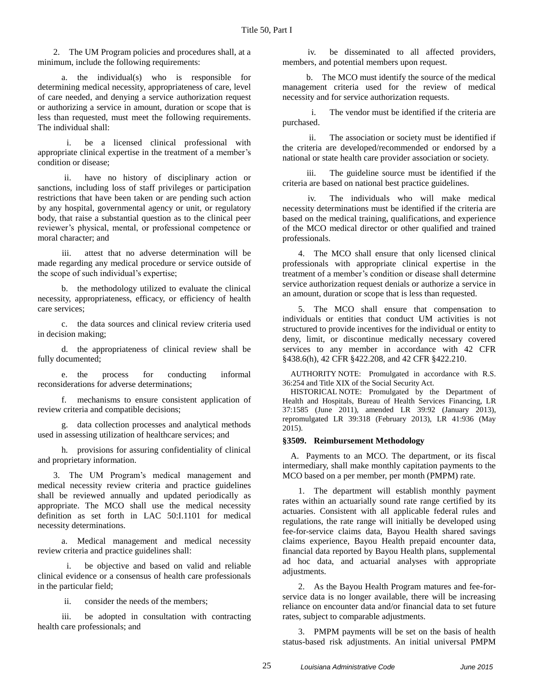2. The UM Program policies and procedures shall, at a minimum, include the following requirements:

a. the individual(s) who is responsible for determining medical necessity, appropriateness of care, level of care needed, and denying a service authorization request or authorizing a service in amount, duration or scope that is less than requested, must meet the following requirements. The individual shall:

i. be a licensed clinical professional with appropriate clinical expertise in the treatment of a member's condition or disease;

ii. have no history of disciplinary action or sanctions, including loss of staff privileges or participation restrictions that have been taken or are pending such action by any hospital, governmental agency or unit, or regulatory body, that raise a substantial question as to the clinical peer reviewer's physical, mental, or professional competence or moral character; and

iii. attest that no adverse determination will be made regarding any medical procedure or service outside of the scope of such individual's expertise;

b. the methodology utilized to evaluate the clinical necessity, appropriateness, efficacy, or efficiency of health care services;

c. the data sources and clinical review criteria used in decision making;

d. the appropriateness of clinical review shall be fully documented;

e. the process for conducting informal reconsiderations for adverse determinations;

f. mechanisms to ensure consistent application of review criteria and compatible decisions;

g. data collection processes and analytical methods used in assessing utilization of healthcare services; and

h. provisions for assuring confidentiality of clinical and proprietary information.

3. The UM Program's medical management and medical necessity review criteria and practice guidelines shall be reviewed annually and updated periodically as appropriate. The MCO shall use the medical necessity definition as set forth in LAC 50:I.1101 for medical necessity determinations.

a. Medical management and medical necessity review criteria and practice guidelines shall:

i. be objective and based on valid and reliable clinical evidence or a consensus of health care professionals in the particular field;

ii. consider the needs of the members;

iii. be adopted in consultation with contracting health care professionals; and

iv. be disseminated to all affected providers, members, and potential members upon request.

b. The MCO must identify the source of the medical management criteria used for the review of medical necessity and for service authorization requests.

i. The vendor must be identified if the criteria are purchased.

ii. The association or society must be identified if the criteria are developed/recommended or endorsed by a national or state health care provider association or society.

iii. The guideline source must be identified if the criteria are based on national best practice guidelines.

iv. The individuals who will make medical necessity determinations must be identified if the criteria are based on the medical training, qualifications, and experience of the MCO medical director or other qualified and trained professionals.

4. The MCO shall ensure that only licensed clinical professionals with appropriate clinical expertise in the treatment of a member's condition or disease shall determine service authorization request denials or authorize a service in an amount, duration or scope that is less than requested.

5. The MCO shall ensure that compensation to individuals or entities that conduct UM activities is not structured to provide incentives for the individual or entity to deny, limit, or discontinue medically necessary covered services to any member in accordance with 42 CFR §438.6(h), 42 CFR §422.208, and 42 CFR §422.210.

AUTHORITY NOTE: Promulgated in accordance with R.S. 36:254 and Title XIX of the Social Security Act.

HISTORICAL NOTE: Promulgated by the Department of Health and Hospitals, Bureau of Health Services Financing, LR 37:1585 (June 2011), amended LR 39:92 (January 2013), repromulgated LR 39:318 (February 2013), LR 41:936 (May 2015).

### **§3509. Reimbursement Methodology**

A. Payments to an MCO. The department, or its fiscal intermediary, shall make monthly capitation payments to the MCO based on a per member, per month (PMPM) rate.

1. The department will establish monthly payment rates within an actuarially sound rate range certified by its actuaries. Consistent with all applicable federal rules and regulations, the rate range will initially be developed using fee-for-service claims data, Bayou Health shared savings claims experience, Bayou Health prepaid encounter data, financial data reported by Bayou Health plans, supplemental ad hoc data, and actuarial analyses with appropriate adjustments.

2. As the Bayou Health Program matures and fee-forservice data is no longer available, there will be increasing reliance on encounter data and/or financial data to set future rates, subject to comparable adjustments.

3. PMPM payments will be set on the basis of health status-based risk adjustments. An initial universal PMPM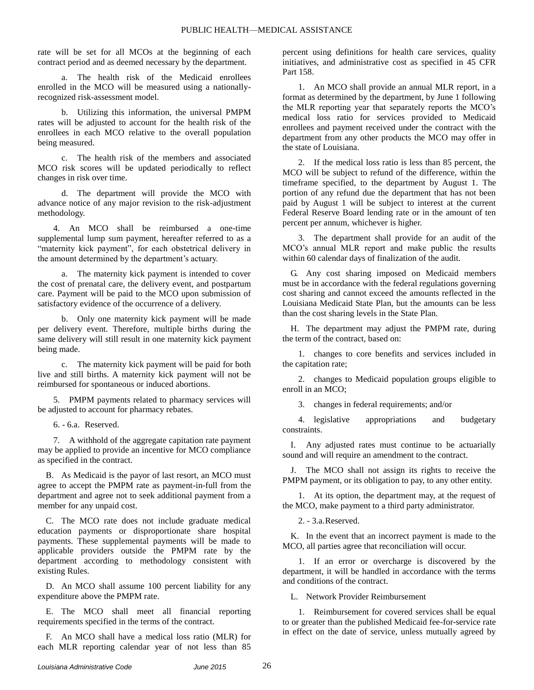rate will be set for all MCOs at the beginning of each contract period and as deemed necessary by the department.

a. The health risk of the Medicaid enrollees enrolled in the MCO will be measured using a nationallyrecognized risk-assessment model.

b. Utilizing this information, the universal PMPM rates will be adjusted to account for the health risk of the enrollees in each MCO relative to the overall population being measured.

c. The health risk of the members and associated MCO risk scores will be updated periodically to reflect changes in risk over time.

d. The department will provide the MCO with advance notice of any major revision to the risk-adjustment methodology.

4. An MCO shall be reimbursed a one-time supplemental lump sum payment, hereafter referred to as a "maternity kick payment", for each obstetrical delivery in the amount determined by the department's actuary.

a. The maternity kick payment is intended to cover the cost of prenatal care, the delivery event, and postpartum care. Payment will be paid to the MCO upon submission of satisfactory evidence of the occurrence of a delivery.

b. Only one maternity kick payment will be made per delivery event. Therefore, multiple births during the same delivery will still result in one maternity kick payment being made.

c. The maternity kick payment will be paid for both live and still births. A maternity kick payment will not be reimbursed for spontaneous or induced abortions.

5. PMPM payments related to pharmacy services will be adjusted to account for pharmacy rebates.

6. - 6.a. Reserved.

7. A withhold of the aggregate capitation rate payment may be applied to provide an incentive for MCO compliance as specified in the contract.

B. As Medicaid is the payor of last resort, an MCO must agree to accept the PMPM rate as payment-in-full from the department and agree not to seek additional payment from a member for any unpaid cost.

C. The MCO rate does not include graduate medical education payments or disproportionate share hospital payments. These supplemental payments will be made to applicable providers outside the PMPM rate by the department according to methodology consistent with existing Rules.

D. An MCO shall assume 100 percent liability for any expenditure above the PMPM rate.

E. The MCO shall meet all financial reporting requirements specified in the terms of the contract.

F. An MCO shall have a medical loss ratio (MLR) for each MLR reporting calendar year of not less than 85

percent using definitions for health care services, quality initiatives, and administrative cost as specified in 45 CFR Part 158.

1. An MCO shall provide an annual MLR report, in a format as determined by the department, by June 1 following the MLR reporting year that separately reports the MCO's medical loss ratio for services provided to Medicaid enrollees and payment received under the contract with the department from any other products the MCO may offer in the state of Louisiana.

2. If the medical loss ratio is less than 85 percent, the MCO will be subject to refund of the difference, within the timeframe specified, to the department by August 1. The portion of any refund due the department that has not been paid by August 1 will be subject to interest at the current Federal Reserve Board lending rate or in the amount of ten percent per annum, whichever is higher.

3. The department shall provide for an audit of the MCO's annual MLR report and make public the results within 60 calendar days of finalization of the audit.

G. Any cost sharing imposed on Medicaid members must be in accordance with the federal regulations governing cost sharing and cannot exceed the amounts reflected in the Louisiana Medicaid State Plan, but the amounts can be less than the cost sharing levels in the State Plan.

H. The department may adjust the PMPM rate, during the term of the contract, based on:

1. changes to core benefits and services included in the capitation rate;

2. changes to Medicaid population groups eligible to enroll in an MCO;

3. changes in federal requirements; and/or

4. legislative appropriations and budgetary constraints.

I. Any adjusted rates must continue to be actuarially sound and will require an amendment to the contract.

J. The MCO shall not assign its rights to receive the PMPM payment, or its obligation to pay, to any other entity.

1. At its option, the department may, at the request of the MCO, make payment to a third party administrator.

2. - 3.a.Reserved.

K. In the event that an incorrect payment is made to the MCO, all parties agree that reconciliation will occur.

1. If an error or overcharge is discovered by the department, it will be handled in accordance with the terms and conditions of the contract.

L. Network Provider Reimbursement

1. Reimbursement for covered services shall be equal to or greater than the published Medicaid fee-for-service rate in effect on the date of service, unless mutually agreed by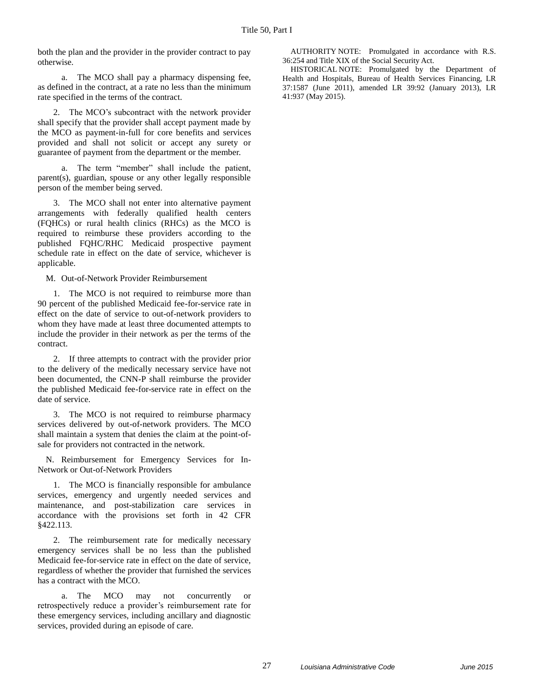both the plan and the provider in the provider contract to pay otherwise.

a. The MCO shall pay a pharmacy dispensing fee, as defined in the contract, at a rate no less than the minimum rate specified in the terms of the contract.

2. The MCO's subcontract with the network provider shall specify that the provider shall accept payment made by the MCO as payment-in-full for core benefits and services provided and shall not solicit or accept any surety or guarantee of payment from the department or the member.

a. The term "member" shall include the patient, parent(s), guardian, spouse or any other legally responsible person of the member being served.

3. The MCO shall not enter into alternative payment arrangements with federally qualified health centers (FQHCs) or rural health clinics (RHCs) as the MCO is required to reimburse these providers according to the published FQHC/RHC Medicaid prospective payment schedule rate in effect on the date of service, whichever is applicable.

M. Out-of-Network Provider Reimbursement

1. The MCO is not required to reimburse more than 90 percent of the published Medicaid fee-for-service rate in effect on the date of service to out-of-network providers to whom they have made at least three documented attempts to include the provider in their network as per the terms of the contract.

2. If three attempts to contract with the provider prior to the delivery of the medically necessary service have not been documented, the CNN-P shall reimburse the provider the published Medicaid fee-for-service rate in effect on the date of service.

3. The MCO is not required to reimburse pharmacy services delivered by out-of-network providers. The MCO shall maintain a system that denies the claim at the point-ofsale for providers not contracted in the network.

N. Reimbursement for Emergency Services for In-Network or Out-of-Network Providers

1. The MCO is financially responsible for ambulance services, emergency and urgently needed services and maintenance, and post-stabilization care services in accordance with the provisions set forth in 42 CFR §422.113.

2. The reimbursement rate for medically necessary emergency services shall be no less than the published Medicaid fee-for-service rate in effect on the date of service, regardless of whether the provider that furnished the services has a contract with the MCO.

a. The MCO may not concurrently or retrospectively reduce a provider's reimbursement rate for these emergency services, including ancillary and diagnostic services, provided during an episode of care.

AUTHORITY NOTE: Promulgated in accordance with R.S. 36:254 and Title XIX of the Social Security Act.

HISTORICAL NOTE: Promulgated by the Department of Health and Hospitals, Bureau of Health Services Financing, LR 37:1587 (June 2011), amended LR 39:92 (January 2013), LR 41:937 (May 2015).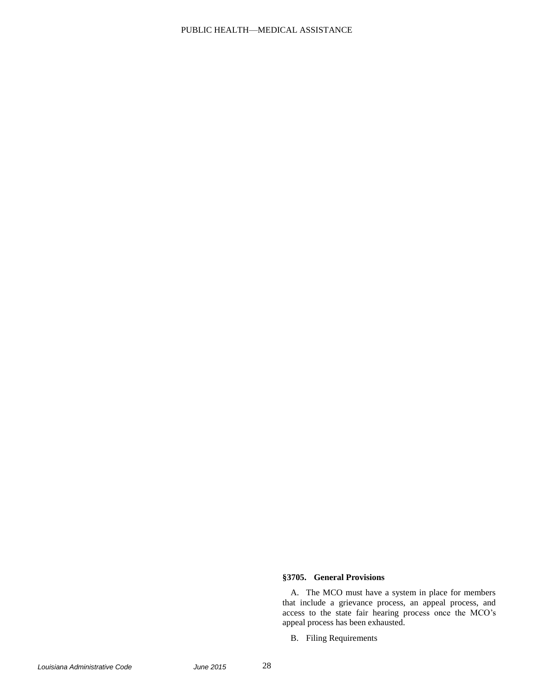## PUBLIC HEALTH—MEDICAL ASSISTANCE

### **§3705. General Provisions**

A. The MCO must have a system in place for members that include a grievance process, an appeal process, and access to the state fair hearing process once the MCO's appeal process has been exhausted.

B. Filing Requirements